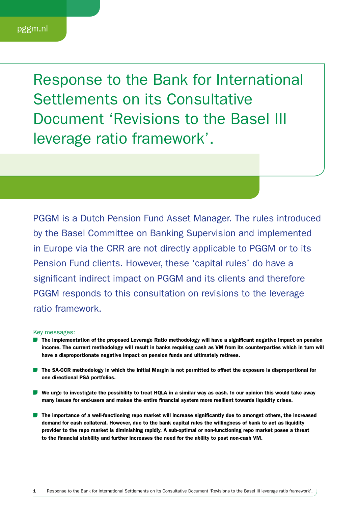Response to the Bank for International Settlements on its Consultative Document 'Revisions to the Basel III leverage ratio framework'.

PGGM is a Dutch Pension Fund Asset Manager. The rules introduced by the Basel Committee on Banking Supervision and implemented in Europe via the CRR are not directly applicable to PGGM or to its Pension Fund clients. However, these 'capital rules' do have a significant indirect impact on PGGM and its clients and therefore PGGM responds to this consultation on revisions to the leverage ratio framework.

#### Key messages:

- The implementation of the proposed Leverage Ratio methodology will have a significant negative impact on pension income. The current methodology will result in banks requiring cash as VM from its counterparties which in turn will have a disproportionate negative impact on pension funds and ultimately retirees.
- **D** The SA-CCR methodology in which the Initial Margin is not permitted to offset the exposure is disproportional for one directional PSA portfolios.
- We urge to investigate the possibility to treat HQLA in a similar way as cash. In our opinion this would take away many issues for end-users and makes the entire financial system more resilient towards liquidity crises.
- **The importance of a well-functioning repo market will increase significantly due to amongst others, the increased** demand for cash collateral. However, due to the bank capital rules the willingness of bank to act as liquidity provider to the repo market is diminishing rapidly. A sub-optimal or non-functioning repo market poses a threat to the financial stability and further increases the need for the ability to post non-cash VM.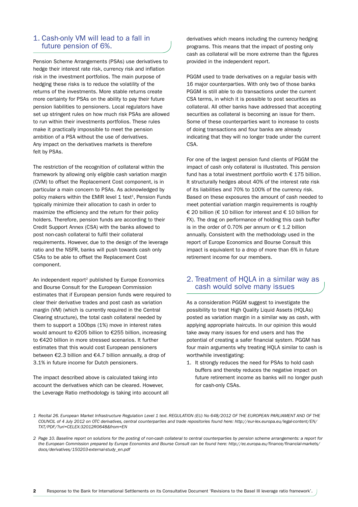# 1. Cash-only VM will lead to a fall in future pension of 6%.

Pension Scheme Arrangements (PSAs) use derivatives to hedge their interest rate risk, currency risk and inflation risk in the investment portfolios. The main purpose of hedging these risks is to reduce the volatility of the returns of the investments. More stable returns create more certainty for PSAs on the ability to pay their future pension liabilities to pensioners. Local regulators have set up stringent rules on how much risk PSAs are allowed to run within their investments portfolios. These rules make it practically impossible to meet the pension ambition of a PSA without the use of derivatives. Any impact on the derivatives markets is therefore felt by PSAs.

The restriction of the recognition of collateral within the framework by allowing only eligible cash variation margin (CVM) to offset the Replacement Cost component, is in particular a main concern to PSAs. As acknowledged by policy makers within the EMIR level  $1$  text<sup>1</sup>, Pension Funds typically minimize their allocation to cash in order to maximize the efficiency and the return for their policy holders. Therefore, pension funds are according to their Credit Support Annex (CSA) with the banks allowed to post non-cash collateral to fulfil their collateral requirements. However, due to the design of the leverage ratio and the NSFR, banks will push towards cash only CSAs to be able to offset the Replacement Cost component.

An independent report<sup>2</sup> published by Europe Economics and Bourse Consult for the European Commission estimates that if European pension funds were required to clear their derivative trades and post cash as variation margin (VM) (which is currently required in the Central Clearing structure), the total cash collateral needed by them to support a 100bps (1%) move in interest rates would amount to €205 billion to €255 billion, increasing to €420 billion in more stressed scenarios. It further estimates that this would cost European pensioners between €2.3 billion and €4.7 billion annually, a drop of 3.1% in future income for Dutch pensioners.

The impact described above is calculated taking into account the derivatives which can be cleared. However, the Leverage Ratio methodology is taking into account all derivatives which means including the currency hedging programs. This means that the impact of posting only cash as collateral will be more extreme than the figures provided in the independent report.

PGGM used to trade derivatives on a regular basis with 16 major counterparties. With only two of those banks PGGM is still able to do transactions under the current CSA terms, in which it is possible to post securities as collateral. All other banks have addressed that accepting securities as collateral is becoming an issue for them. Some of these counterparties want to increase to costs of doing transactions and four banks are already indicating that they will no longer trade under the current CSA.

For one of the largest pension fund clients of PGGM the impact of cash only collateral is illustrated. This pension fund has a total investment portfolio worth € 175 billion. It structurally hedges about 40% of the interest rate risk of its liabilities and 70% to 100% of the currency risk. Based on these exposures the amount of cash needed to meet potential variation margin requirements is roughly € 20 billion (€ 10 billion for interest and € 10 billion for FX). The drag on performance of holding this cash buffer is in the order of 0.70% per annum or  $\epsilon$  1.2 billion annually. Consistent with the methodology used in the report of Europe Economics and Bourse Consult this impact is equivalent to a drop of more than 6% in future retirement income for our members.

#### 2. Treatment of HQLA in a similar way as cash would solve many issues

As a consideration PGGM suggest to investigate the possibility to treat High Quality Liquid Assets (HQLAs) posted as variation margin in a similar way as cash, with applying appropriate haircuts. In our opinion this would take away many issues for end users and has the potential of creating a safer financial system. PGGM has four main arguments why treating HQLA similar to cash is worthwhile investigating:

1. It strongly reduces the need for PSAs to hold cash buffers and thereby reduces the negative impact on future retirement income as banks will no longer push for cash-only CSAs.

*<sup>1</sup> Recital 26. European Market Infrastructure Regulation Level 1 text. REGULATION (EU) No 648/2012 OF THE EUROPEAN PARLIAMENT AND OF THE COUNCIL of 4 July 2012 on OTC derivatives, central counterparties and trade repositories found here: http://eur-lex.europa.eu/legal-content/EN/ TXT/PDF/?uri=CELEX:32012R0648&from=EN*

*<sup>2</sup> Page 10. Baseline report on solutions for the posting of non-cash collateral to central counterparties by pension scheme arrangements: a report for the European Commission prepared by Europe Economics and Bourse Consult can be found here: http://ec.europa.eu/finance/financial-markets/ docs/derivatives/150203-external-study\_en.pdf*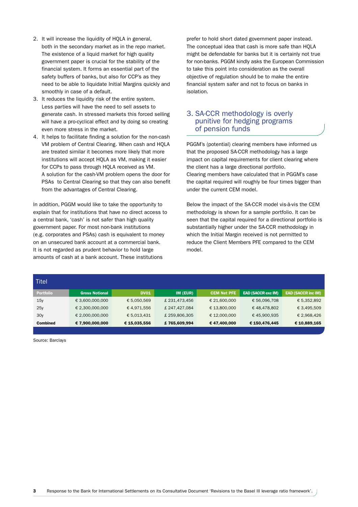- 2. It will increase the liquidity of HOLA in general, both in the secondary market as in the repo market. The existence of a liquid market for high quality government paper is crucial for the stability of the financial system. It forms an essential part of the safety buffers of banks, but also for CCP's as they need to be able to liquidate Initial Margins quickly and smoothly in case of a default.
- 3. It reduces the liquidity risk of the entire system. Less parties will have the need to sell assets to generate cash. In stressed markets this forced selling will have a pro-cyclical effect and by doing so creating even more stress in the market.
- 4. It helps to facilitate finding a solution for the non-cash VM problem of Central Clearing. When cash and HQLA are treated similar it becomes more likely that more institutions will accept HQLA as VM, making it easier for CCPs to pass through HQLA received as VM. A solution for the cash-VM problem opens the door for PSAs to Central Clearing so that they can also benefit from the advantages of Central Clearing.

In addition, PGGM would like to take the opportunity to explain that for institutions that have no direct access to a central bank, 'cash' is not safer than high quality government paper. For most non-bank institutions (e.g. corporates and PSAs) cash is equivalent to money on an unsecured bank account at a commercial bank. It is not regarded as prudent behavior to hold large amounts of cash at a bank account. These institutions

prefer to hold short dated government paper instead. The conceptual idea that cash is more safe than HQLA might be defendable for banks but it is certainly not true for non-banks. PGGM kindly asks the European Commission to take this point into consideration as the overall objective of regulation should be to make the entire financial system safer and not to focus on banks in isolation.

## 3. SA-CCR methodology is overly punitive for hedging programs of pension funds

PGGM's (potential) clearing members have informed us that the proposed SA-CCR methodology has a large impact on capital requirements for client clearing where the client has a large directional portfolio. Clearing members have calculated that in PGGM's case the capital required will roughly be four times bigger than under the current CEM model.

Below the impact of the SA-CCR model vis-à-vis the CEM methodology is shown for a sample portfolio. It can be seen that the capital required for a directional portfolio is substantially higher under the SA-CCR methodology in which the Initial Margin received is not permitted to reduce the Client Members PFE compared to the CEM model.

| Titel            |                       |              |               |                    |                           |                           |
|------------------|-----------------------|--------------|---------------|--------------------|---------------------------|---------------------------|
| <b>Portfolio</b> | <b>Gross Notional</b> | <b>DV01</b>  | $IM$ (EUR)    | <b>CEM Net PFE</b> | <b>EAD (SACCR exc IM)</b> | <b>EAD (SACCR inc IM)</b> |
| 15y              | € 3,600,000,000       | € 5,050,569  | £ 231,473,456 | € 21,600,000       | € 56,096,708              | € 5,352,892               |
| 25y              | € 2,300,000,000       | € 4,971,556  | £247,427,084  | € 13,800,000       | €48,478,802               | € 3,495,509               |
| 30y              | € 2,000,000,000       | € 5,013,431  | £259,806,305  | € 12,000,000       | €45,900,935               | € 2,968,426               |
| <b>Combined</b>  | € 7,900,000,000       | € 15,035,556 | £765,609,994  | €47,400,000        | € 150,476,445             | € 10,889,165              |

Source: Barclays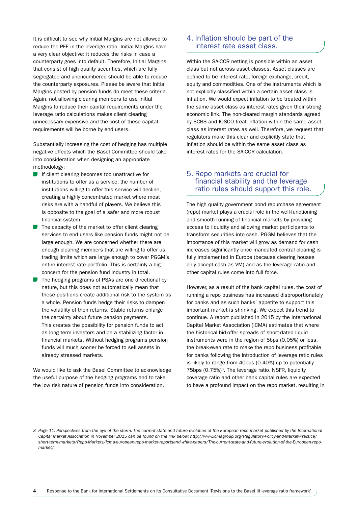It is difficult to see why Initial Margins are not allowed to reduce the PFE in the leverage ratio. Initial Margins have a very clear objective: it reduces the risks in case a counterparty goes into default. Therefore, Initial Margins that consist of high quality securities, which are fully segregated and unencumbered should be able to reduce the counterparty exposures. Please be aware that Initial Margins posted by pension funds do meet these criteria. Again, not allowing clearing members to use Initial Margins to reduce their capital requirements under the leverage ratio calculations makes client clearing unnecessary expensive and the cost of these capital requirements will be borne by end users.

Substantially increasing the cost of hedging has multiple negative effects which the Basel Committee should take into consideration when designing an appropriate methodology:

- If client clearing becomes too unattractive for institutions to offer as a service, the number of institutions willing to offer this service will decline, creating a highly concentrated market where most risks are with a handful of players. We believe this is opposite to the goal of a safer and more robust financial system.
- $\blacksquare$  The capacity of the market to offer client clearing services to end users like pension funds might not be large enough. We are concerned whether there are enough clearing members that are willing to offer us trading limits which are large enough to cover PGGM's entire interest rate portfolio. This is certainly a big concern for the pension fund industry in total.
- The hedging programs of PSAs are one directional by nature, but this does not automatically mean that these positions create additional risk to the system as a whole. Pension funds hedge their risks to dampen the volatility of their returns. Stable returns enlarge the certainty about future pension payments. This creates the possibility for pension funds to act as long term investors and be a stabilizing factor in financial markets. Without hedging programs pension funds will much sooner be forced to sell assets in already stressed markets.

We would like to ask the Basel Committee to acknowledge the useful purpose of the hedging programs and to take the low risk nature of pension funds into consideration.

## 4. Inflation should be part of the interest rate asset class.

Within the SA-CCR netting is possible within an asset class but not across asset classes. Asset classes are defined to be interest rate, foreign exchange, credit, equity and commodities. One of the instruments which is not explicitly classified within a certain asset class is inflation. We would expect inflation to be treated within the same asset class as interest rates given their strong economic link. The non-cleared margin standards agreed by BCBS and IOSCO treat inflation within the same asset class as interest rates as well. Therefore, we request that regulators make this clear and explicitly state that inflation should be within the same asset class as interest rates for the SA-CCR calculation.

# 5. Repo markets are crucial for financial stability and the leverage ratio rules should support this role.

The high quality government bond repurchase agreement (repo) market plays a crucial role in the well-functioning and smooth running of financial markets by providing access to liquidity and allowing market participants to transform securities into cash. PGGM believes that the importance of this market will grow as demand for cash increases significantly once mandated central clearing is fully implemented in Europe (because clearing houses only accept cash as VM) and as the leverage ratio and other capital rules come into full force.

However, as a result of the bank capital rules, the cost of running a repo business has increased disproportionately for banks and as such banks' appetite to support this important market is shrinking. We expect this trend to continue. A report published in 2015 by the International Capital Market Association (ICMA) estimates that where the historical bid-offer spreads of short-dated liquid instruments were in the region of 5bps (0.05%) or less, the break-even rate to make the repo business profitable for banks following the introduction of leverage ratio rules is likely to range from 40bps (0.40%) up to potentially 75bps  $(0.75\%)$ <sup>3</sup>. The leverage ratio, NSFR, liquidity coverage ratio and other bank capital rules are expected to have a profound impact on the repo market, resulting in

*<sup>3</sup> Page 11. Perspectives from the eye of the storm: The current state and future evolution of the European repo market published by the International Capital Market Association in November 2015 can be found on the link below: http://www.icmagroup.org/Regulatory-Policy-and-Market-Practice/ short-term-markets/Repo-Markets/icma-european-repo-market-reportsand-white-papers/The-current-state-and-future-evolution-of-the-European-repomarket/*